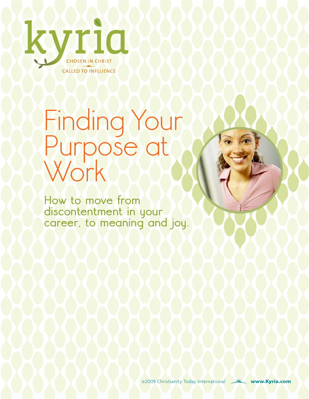

# Finding Your Purpose at Work

**How to move from discontentment in your career, to meaning and joy.** 

©2009 Christianity Today International **[www.Kyria.com](www.kyria.com)**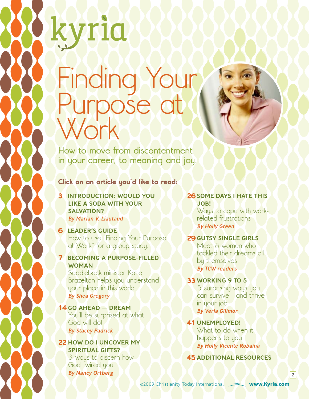# Finding Your Purpose at Work

**How to move from discontentment in your career, to meaning and joy.** 

**Click on an article you'd like to read:**

**3** [Introduction: Would you](#page-2-0)  [like a soda with your](#page-2-0)  SALVATION? [By Marian V. Liautaud](#page-2-0)

yria

### **6** [Leader's Guide](#page-5-0)

How to use "Finding Your Purpose at Work" for a group study.

### **7** [Becoming a Purpose-Filled](#page-6-0)  **WOMAN**

[Saddleback minister Katie](#page-6-0)  [Brazelton helps you understand](#page-6-0)  [your place in this world.](#page-6-0)  [By](#page-6-0) Shea Gregory

#### **14** [Go Ahead — Dream](#page-13-0)

[You'll be surprised at what](#page-13-0)  [God will do!](#page-13-0)  [By](#page-13-0) Stacey Padrick

#### **22** How [Do I Uncover My](#page-21-0)  SPIRITUAL GIFTS?

[3 ways to discern how](#page-21-0)  [God wired you.](#page-21-0)  [By](#page-21-0) Nancy Ortberg

#### **26 SOME DAYS I HATE THIS** [Job!](#page-25-0)

[Ways to cope with work](#page-25-0)[related frustrations](#page-25-0)  [By](#page-25-0) Holly Green

#### **29** [Gutsy Single Girls](#page-28-0)

[Meet 8 women who](#page-28-0)  [tackled their dreams all](#page-28-0)  [by themselves](#page-28-0)  By TCW readers

#### **33** [Working 9 to 5](#page-32-0)

[5 surprising ways you](#page-32-0)  [can survive—and thrive](#page-32-0)  [in your job.](#page-32-0)  By Verla Gillmor

#### **41**[Unemployed!](#page-40-0) What to do when it [happens to you](#page-40-0)  By Holly Vicente Robaina

**45** [additional resources](#page-44-0)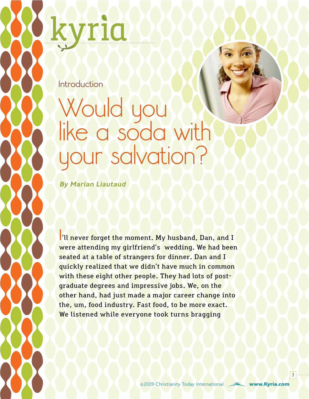<span id="page-2-0"></span>

**Introduction**

### Would you like a soda with your salvation?

By Marian Liautaud

**I**'ll never forget the moment. My husband, Dan, and I were attending my girlfriend's wedding. We had been seated at a table of strangers for dinner. Dan and I quickly realized that we didn't have much in common with these eight other people. They had lots of postgraduate degrees and impressive jobs. We, on the other hand, had just made a major career change into the, um, food industry. Fast food, to be more exact. We listened while everyone took turns bragging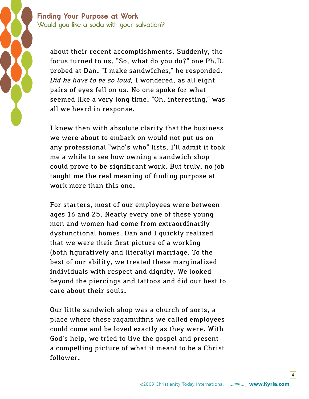**Finding Your Purpose at Work Would you like a soda with your salvation?**

> about their recent accomplishments. Suddenly, the focus turned to us. "So, what do you do?" one Ph.D. probed at Dan. "I make sandwiches," he responded. *Did he have to be so loud,* I wondered, as all eight pairs of eyes fell on us. No one spoke for what seemed like a very long time. "Oh, interesting," was all we heard in response.

> I knew then with absolute clarity that the business we were about to embark on would not put us on any professional "who's who" lists. I'll admit it took me a while to see how owning a sandwich shop could prove to be significant work. But truly, no job taught me the real meaning of finding purpose at work more than this one.

> For starters, most of our employees were between ages 16 and 25. Nearly every one of these young men and women had come from extraordinarily dysfunctional homes. Dan and I quickly realized that we were their first picture of a working (both figuratively and literally) marriage. To the best of our ability, we treated these marginalized individuals with respect and dignity. We looked beyond the piercings and tattoos and did our best to care about their souls.

> Our little sandwich shop was a church of sorts, a place where these ragamuffins we called employees could come and be loved exactly as they were. With God's help, we tried to live the gospel and present a compelling picture of what it meant to be a Christ follower.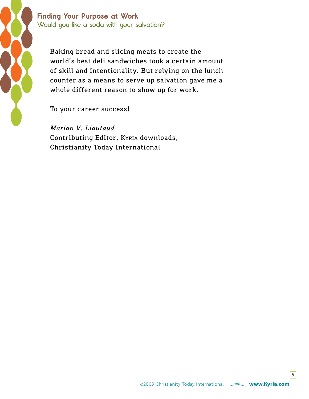

**Finding Your Purpose at Work Would you like a soda with your salvation?**

Baking bread and slicing meats to create the world's best deli sandwiches took a certain amount of skill and intentionality. But relying on the lunch counter as a means to serve up salvation gave me a whole different reason to show up for work.

To your career success!

*Marian V. Liautaud* Contributing Editor, Kyria downloads, Christianity Today International

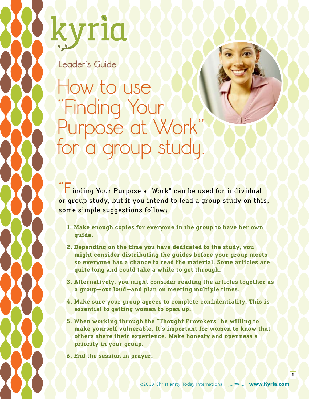<span id="page-5-0"></span>

**Leader's Guide**

How to use "Finding Your Purpose at Work" for a group study.

**"F**inding Your Purpose at Work" can be used for individual or group study, but if you intend to lead a group study on this, some simple suggestions follow:

- **1. Make enough copies for everyone in the group to have her own guide.**
- **2. Depending on the time you have dedicated to the study, you might consider distributing the guides before your group meets so everyone has a chance to read the material. Some articles are quite long and could take a while to get through.**
- **3. Alternatively, you might consider reading the articles together as a group—out loud—and plan on meeting multiple times.**
- **4. Make sure your group agrees to complete confidentiality. This is essential to getting women to open up.**
- **5. When working through the "Thought Provokers" be willing to make yourself vulnerable. It's important for women to know that others share their experience. Make honesty and openness a priority in your group.**

**6. End the session in prayer.**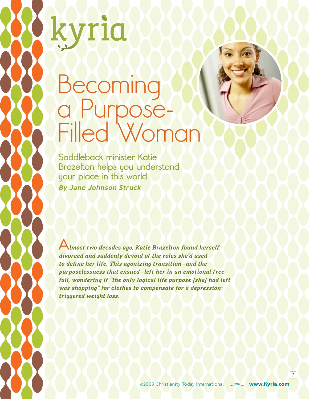# Becoming a Purpose-Filled Woman

<span id="page-6-0"></span>TIQ

**Saddleback minister Katie Brazelton helps you understand your place in this world.** By Jane Johnson Struck

**A***lmost two decades ago, Katie Brazelton found herself divorced and suddenly devoid of the roles she'd used to define her life. This agonizing transition—and the purposelessness that ensued—left her in an emotional free fall, wondering if "the only logical life purpose [she] had left was shopping" for clothes to compensate for a depressiontriggered weight loss.*

©2009 Christianity Today International **[www.Kyria.com](www.kyria.com)**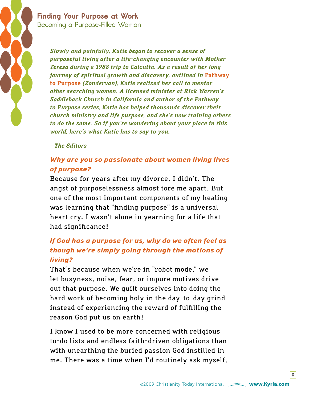

> *Slowly and painfully, Katie began to recover a sense of purposeful living after a life-changing encounter with Mother Teresa during a 1988 trip to Calcutta. As a result of her long journey of spiritual growth and discovery, outlined in Pathway* **[to Purpose](http://www.christianbook.com/Christian/Books/product/?item_no=256496&p=1026979)** *(Zondervan), Katie realized her call to mentor other searching women. A licensed minister at Rick Warren's Saddleback Church in California and author of the Pathway to Purpose series, Katie has helped thousands discover their church ministry and life purpose, and she's now training others to do the same. So if you're wondering about your place in this world, here's what Katie has to say to you.*

#### *—The Editors*

### *Why are you so passionate about women living lives of purpose?*

Because for years after my divorce, I didn't. The angst of purposelessness almost tore me apart. But one of the most important components of my healing was learning that "finding purpose" is a universal heart cry. I wasn't alone in yearning for a life that had significance!

### *If God has a purpose for us, why do we often feel as though we're simply going through the motions of living?*

That's because when we're in "robot mode," we let busyness, noise, fear, or impure motives drive out that purpose. We guilt ourselves into doing the hard work of becoming holy in the day-to-day grind instead of experiencing the reward of fulfilling the reason God put us on earth!

I know I used to be more concerned with religious to-do lists and endless faith-driven obligations than with unearthing the buried passion God instilled in me. There was a time when I'd routinely ask myself,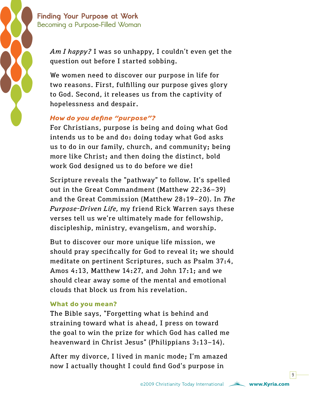

*Am I happy?* I was so unhappy, I couldn't even get the question out before I started sobbing.

We women need to discover our purpose in life for two reasons. First, fulfilling our purpose gives glory to God. Second, it releases us from the captivity of hopelessness and despair.

### *How do you define "purpose"?*

For Christians, purpose is being and doing what God intends us to be and do: doing today what God asks us to do in our family, church, and community; being more like Christ; and then doing the distinct, bold work God designed us to do before we die!

Scripture reveals the "pathway" to follow. It's spelled out in the Great Commandment (Matthew 22:36–39) and the Great Commission (Matthew 28:19–20). In *The Purpose-Driven Life,* my friend Rick Warren says these verses tell us we're ultimately made for fellowship, discipleship, ministry, evangelism, and worship.

But to discover our more unique life mission, we should pray specifically for God to reveal it; we should meditate on pertinent Scriptures, such as Psalm 37:4, Amos 4:13, Matthew 14:27, and John 17:1; and we should clear away some of the mental and emotional clouds that block us from his revelation.

### **What do you mean?**

The Bible says, "Forgetting what is behind and straining toward what is ahead, I press on toward the goal to win the prize for which God has called me heavenward in Christ Jesus" (Philippians 3:13–14).

After my divorce, I lived in manic mode; I'm amazed now I actually thought I could find God's purpose in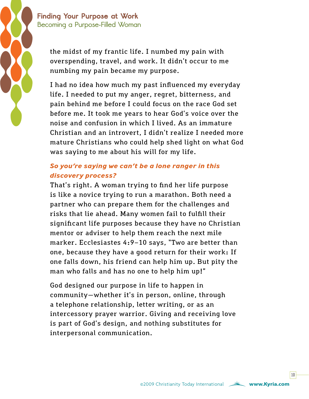

the midst of my frantic life. I numbed my pain with overspending, travel, and work. It didn't occur to me numbing my pain became my purpose.

I had no idea how much my past influenced my everyday life. I needed to put my anger, regret, bitterness, and pain behind me before I could focus on the race God set before me. It took me years to hear God's voice over the noise and confusion in which I lived. As an immature Christian and an introvert, I didn't realize I needed more mature Christians who could help shed light on what God was saying to me about his will for my life.

### *So you're saying we can't be a lone ranger in this discovery process?*

That's right. A woman trying to find her life purpose is like a novice trying to run a marathon. Both need a partner who can prepare them for the challenges and risks that lie ahead. Many women fail to fulfill their significant life purposes because they have no Christian mentor or adviser to help them reach the next mile marker. Ecclesiastes 4:9–10 says, "Two are better than one, because they have a good return for their work: If one falls down, his friend can help him up. But pity the man who falls and has no one to help him up!"

God designed our purpose in life to happen in community—whether it's in person, online, through a telephone relationship, letter writing, or as an intercessory prayer warrior. Giving and receiving love is part of God's design, and nothing substitutes for interpersonal communication.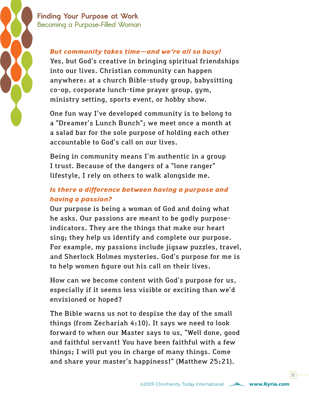

### *But community takes time—and we're all so busy!*

Yes, but God's creative in bringing spiritual friendships into our lives. Christian community can happen anywhere: at a church Bible-study group, babysitting co-op, corporate lunch-time prayer group, gym, ministry setting, sports event, or hobby show.

One fun way I've developed community is to belong to a "Dreamer's Lunch Bunch"; we meet once a month at a salad bar for the sole purpose of holding each other accountable to God's call on our lives.

Being in community means I'm authentic in a group I trust. Because of the dangers of a "lone ranger" lifestyle, I rely on others to walk alongside me.

### *Is there a difference between having a purpose and having a passion?*

Our purpose is being a woman of God and doing what he asks. Our passions are meant to be godly purposeindicators. They are the things that make our heart sing; they help us identify and complete our purpose. For example, my passions include jigsaw puzzles, travel, and Sherlock Holmes mysteries. God's purpose for me is to help women figure out his call on their lives.

How can we become content with God's purpose for us, especially if it seems less visible or exciting than we'd envisioned or hoped?

The Bible warns us not to despise the day of the small things (from Zechariah 4:10). It says we need to look forward to when our Master says to us, "Well done, good and faithful servant! You have been faithful with a few things; I will put you in charge of many things. Come and share your master's happiness!" (Matthew 25:21).

 $|11|$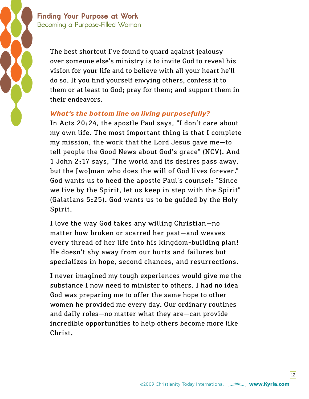> The best shortcut I've found to guard against jealousy over someone else's ministry is to invite God to reveal his vision for your life and to believe with all your heart he'll do so. If you find yourself envying others, confess it to them or at least to God; pray for them; and support them in their endeavors.

### *What's the bottom line on living purposefully?*

In Acts 20:24, the apostle Paul says, "I don't care about my own life. The most important thing is that I complete my mission, the work that the Lord Jesus gave me—to tell people the Good News about God's grace" (NCV). And 1 John 2:17 says, "The world and its desires pass away, but the [wo]man who does the will of God lives forever." God wants us to heed the apostle Paul's counsel: "Since we live by the Spirit, let us keep in step with the Spirit" (Galatians 5:25). God wants us to be guided by the Holy Spirit.

I love the way God takes any willing Christian—no matter how broken or scarred her past—and weaves every thread of her life into his kingdom-building plan! He doesn't shy away from our hurts and failures but specializes in hope, second chances, and resurrections.

I never imagined my tough experiences would give me the substance I now need to minister to others. I had no idea God was preparing me to offer the same hope to other women he provided me every day. Our ordinary routines and daily roles—no matter what they are—can provide incredible opportunities to help others become more like Christ.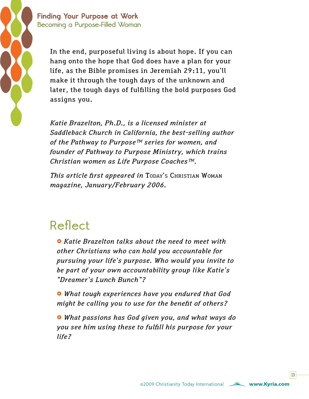

In the end, purposeful living is about hope. If you can hang onto the hope that God does have a plan for your life, as the Bible promises in Jeremiah 29:11, you'll make it through the tough days of the unknown and later, the tough days of fulfilling the bold purposes God assigns you.

*Katie Brazelton, Ph.D., is a licensed minister at Saddleback Church in California, the best-selling author of the Pathway to Purpose™ series for women, and founder of Pathway to Purpose Ministry, which trains Christian women as Life Purpose Coaches™.* 

*This article first appeared in* Today's Christian Woman *magazine, January/February 2006.*

### **Reflect**

£ *Katie Brazelton talks about the need to meet with other Christians who can hold you accountable for pursuing your life's purpose. Who would you invite to be part of your own accountability group like Katie's "Dreamer's Lunch Bunch"?*

£ *What tough experiences have you endured that God might be calling you to use for the benefit of others?*

£ *What passions has God given you, and what ways do you see him using these to fulfill his purpose for your life?*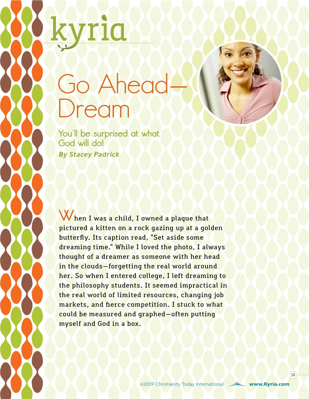# Go Ahead<br>Dream

**You'll be surprised at what God will do!** By Stacey Padrick

<span id="page-13-0"></span>zrid

When I was a child, I owned a plaque that pictured a kitten on a rock gazing up at a golden butterfly. Its caption read, "Set aside some dreaming time." While I loved the photo, I always thought of a dreamer as someone with her head in the clouds—forgetting the real world around her. So when I entered college, I left dreaming to the philosophy students. It seemed impractical in the real world of limited resources, changing job markets, and fierce competition. I stuck to what could be measured and graphed—often putting myself and God in a box.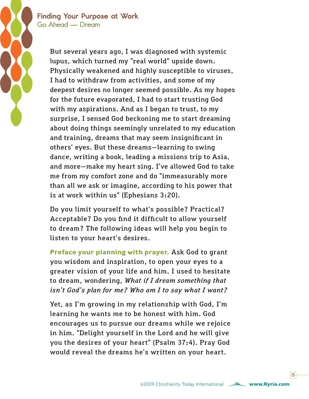> But several years ago, I was diagnosed with systemic lupus, which turned my "real world" upside down. Physically weakened and highly susceptible to viruses, I had to withdraw from activities, and some of my deepest desires no longer seemed possible. As my hopes for the future evaporated, I had to start trusting God with my aspirations. And as I began to trust, to my surprise, I sensed God beckoning me to start dreaming about doing things seemingly unrelated to my education and training, dreams that may seem insignificant in others' eyes. But these dreams—learning to swing dance, writing a book, leading a missions trip to Asia, and more—make my heart sing. I've allowed God to take me from my comfort zone and do "immeasurably more than all we ask or imagine, according to his power that is at work within us" (Ephesians 3:20).

Do you limit yourself to what's possible? Practical? Acceptable? Do you find it difficult to allow yourself to dream? The following ideas will help you begin to listen to your heart's desires.

**Preface your planning with prayer.** Ask God to grant you wisdom and inspiration, to open your eyes to a greater vision of your life and him. I used to hesitate to dream, wondering, *What if I dream something that isn't God's plan for me? Who am I to say what I want?*

Yet, as I'm growing in my relationship with God, I'm learning he wants me to be honest with him. God encourages us to pursue our dreams while we rejoice in him. "Delight yourself in the Lord and he will give you the desires of your heart" (Psalm 37:4). Pray God would reveal the dreams he's written on your heart.

 $15<sup>1</sup>$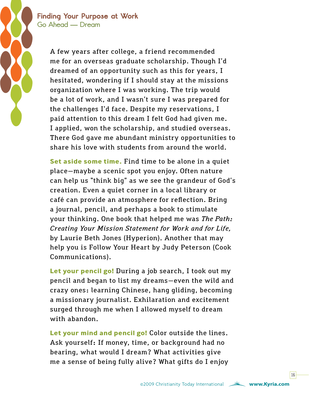> A few years after college, a friend recommended me for an overseas graduate scholarship. Though I'd dreamed of an opportunity such as this for years, I hesitated, wondering if I should stay at the missions organization where I was working. The trip would be a lot of work, and I wasn't sure I was prepared for the challenges I'd face. Despite my reservations, I paid attention to this dream I felt God had given me. I applied, won the scholarship, and studied overseas. There God gave me abundant ministry opportunities to share his love with students from around the world.

> **Set aside some time.** Find time to be alone in a quiet place—maybe a scenic spot you enjoy. Often nature can help us "think big" as we see the grandeur of God's creation. Even a quiet corner in a local library or café can provide an atmosphere for reflection. Bring a journal, pencil, and perhaps a book to stimulate your thinking. One book that helped me was *The Path: Creating Your Mission Statement for Work and for Life,* by Laurie Beth Jones (Hyperion). Another that may help you is Follow Your Heart by Judy Peterson (Cook Communications).

> **Let your pencil go!** During a job search, I took out my pencil and began to list my dreams—even the wild and crazy ones: learning Chinese, hang gliding, becoming a missionary journalist. Exhilaration and excitement surged through me when I allowed myself to dream with abandon.

**Let your mind and pencil go!** Color outside the lines. Ask yourself: If money, time, or background had no bearing, what would I dream? What activities give me a sense of being fully alive? What gifts do I enjoy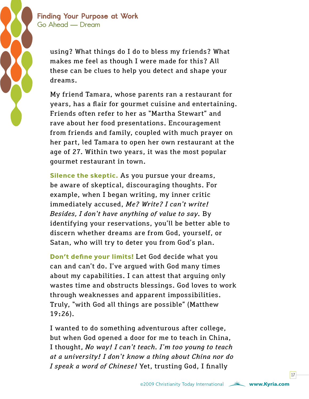

using? What things do I do to bless my friends? What makes me feel as though I were made for this? All these can be clues to help you detect and shape your dreams.

My friend Tamara, whose parents ran a restaurant for years, has a flair for gourmet cuisine and entertaining. Friends often refer to her as "Martha Stewart" and rave about her food presentations. Encouragement from friends and family, coupled with much prayer on her part, led Tamara to open her own restaurant at the age of 27. Within two years, it was the most popular gourmet restaurant in town.

**Silence the skeptic.** As you pursue your dreams, be aware of skeptical, discouraging thoughts. For example, when I began writing, my inner critic immediately accused, *Me? Write? I can't write! Besides, I don't have anything of value to say.* By identifying your reservations, you'll be better able to discern whether dreams are from God, yourself, or Satan, who will try to deter you from God's plan.

**Don't define your limits!** Let God decide what you can and can't do. I've argued with God many times about my capabilities. I can attest that arguing only wastes time and obstructs blessings. God loves to work through weaknesses and apparent impossibilities. Truly, "with God all things are possible" (Matthew 19:26).

I wanted to do something adventurous after college, but when God opened a door for me to teach in China, I thought, *No way! I can't teach. I'm too young to teach at a university! I don't know a thing about China nor do I speak a word of Chinese!* Yet, trusting God, I finally

 $17<sup>1</sup>$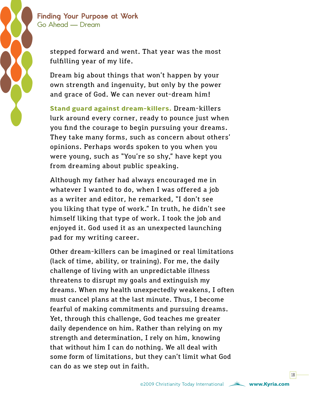

stepped forward and went. That year was the most fulfilling year of my life.

Dream big about things that won't happen by your own strength and ingenuity, but only by the power and grace of God. We can never out-dream him!

**Stand guard against dream-killers.** Dream-killers lurk around every corner, ready to pounce just when you find the courage to begin pursuing your dreams. They take many forms, such as concern about others' opinions. Perhaps words spoken to you when you were young, such as "You're so shy," have kept you from dreaming about public speaking.

Although my father had always encouraged me in whatever I wanted to do, when I was offered a job as a writer and editor, he remarked, "I don't see you liking that type of work." In truth, he didn't see himself liking that type of work. I took the job and enjoyed it. God used it as an unexpected launching pad for my writing career.

Other dream-killers can be imagined or real limitations (lack of time, ability, or training). For me, the daily challenge of living with an unpredictable illness threatens to disrupt my goals and extinguish my dreams. When my health unexpectedly weakens, I often must cancel plans at the last minute. Thus, I become fearful of making commitments and pursuing dreams. Yet, through this challenge, God teaches me greater daily dependence on him. Rather than relying on my strength and determination, I rely on him, knowing that without him I can do nothing. We all deal with some form of limitations, but they can't limit what God can do as we step out in faith.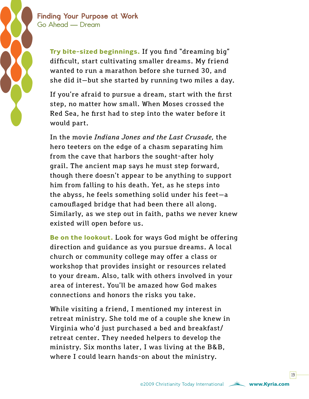

**Try bite-sized beginnings.** If you find "dreaming big" difficult, start cultivating smaller dreams. My friend wanted to run a marathon before she turned 30, and she did it—but she started by running two miles a day.

If you're afraid to pursue a dream, start with the first step, no matter how small. When Moses crossed the Red Sea, he first had to step into the water before it would part.

In the movie *Indiana Jones and the Last Crusade,* the hero teeters on the edge of a chasm separating him from the cave that harbors the sought-after holy grail. The ancient map says he must step forward, though there doesn't appear to be anything to support him from falling to his death. Yet, as he steps into the abyss, he feels something solid under his feet—a camouflaged bridge that had been there all along. Similarly, as we step out in faith, paths we never knew existed will open before us.

**Be on the lookout.** Look for ways God might be offering direction and guidance as you pursue dreams. A local church or community college may offer a class or workshop that provides insight or resources related to your dream. Also, talk with others involved in your area of interest. You'll be amazed how God makes connections and honors the risks you take.

While visiting a friend, I mentioned my interest in retreat ministry. She told me of a couple she knew in Virginia who'd just purchased a bed and breakfast/ retreat center. They needed helpers to develop the ministry. Six months later, I was living at the B&B, where I could learn hands-on about the ministry.

 $19<sup>1</sup>$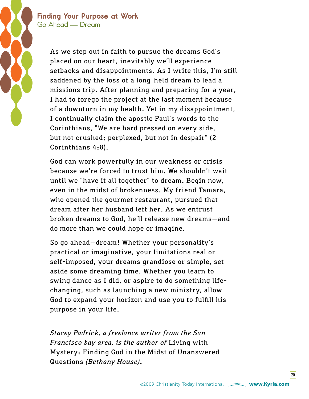> As we step out in faith to pursue the dreams God's placed on our heart, inevitably we'll experience setbacks and disappointments. As I write this, I'm still saddened by the loss of a long-held dream to lead a missions trip. After planning and preparing for a year, I had to forego the project at the last moment because of a downturn in my health. Yet in my disappointment, I continually claim the apostle Paul's words to the Corinthians, "We are hard pressed on every side, but not crushed; perplexed, but not in despair" (2 Corinthians 4:8).

God can work powerfully in our weakness or crisis because we're forced to trust him. We shouldn't wait until we "have it all together" to dream. Begin now, even in the midst of brokenness. My friend Tamara, who opened the gourmet restaurant, pursued that dream after her husband left her. As we entrust broken dreams to God, he'll release new dreams—and do more than we could hope or imagine.

So go ahead—dream! Whether your personality's practical or imaginative, your limitations real or self-imposed, your dreams grandiose or simple, set aside some dreaming time. Whether you learn to swing dance as I did, or aspire to do something lifechanging, such as launching a new ministry, allow God to expand your horizon and use you to fulfill his purpose in your life.

*Stacey Padrick, a freelance writer from the San Francisco bay area, is the author of* Living with Mystery: Finding God in the Midst of Unanswered Questions *(Bethany House).*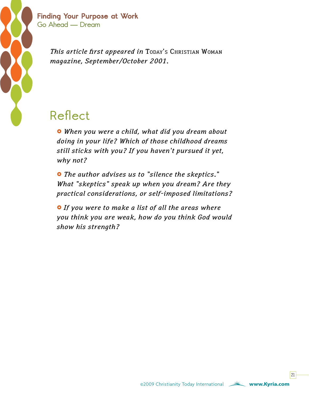

> *This article first appeared in TODAY's CHRISTIAN WOMAN magazine, September/October 2001.*

### **Reflect**

£ *When you were a child, what did you dream about doing in your life? Which of those childhood dreams still sticks with you? If you haven't pursued it yet, why not?*

£ *The author advises us to "silence the skeptics." What "skeptics" speak up when you dream? Are they practical considerations, or self-imposed limitations?*

£ *If you were to make a list of all the areas where you think you are weak, how do you think God would show his strength?*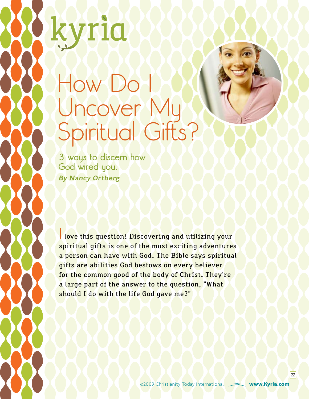# <span id="page-21-0"></span>How Do Uncover My Spiritual Gifts?

**3 ways to discern how God wired you.** By Nancy Ortberg

**I** love this question! Discovering and utilizing your spiritual gifts is one of the most exciting adventures a person can have with God. The Bible says spiritual gifts are abilities God bestows on every believer for the common good of the body of Christ. They're a large part of the answer to the question, "What should I do with the life God gave me?"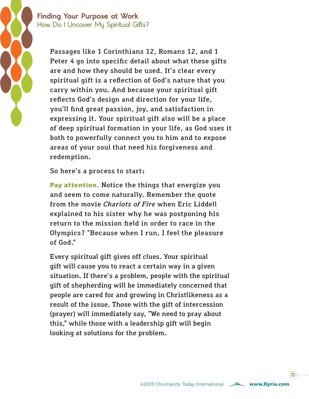### **Finding Your Purpose at Work How Do I Uncover My Spiritual Gifts?**

Passages like 1 Corinthians 12, Romans 12, and 1 Peter 4 go into specific detail about what these gifts are and how they should be used. It's clear every spiritual gift is a reflection of God's nature that you carry within you. And because your spiritual gift reflects God's design and direction for your life, you'll find great passion, joy, and satisfaction in expressing it. Your spiritual gift also will be a place of deep spiritual formation in your life, as God uses it both to powerfully connect you to him and to expose areas of your soul that need his forgiveness and redemption.

So here's a process to start:

**Pay attention.** Notice the things that energize you and seem to come naturally. Remember the quote from the movie *Chariots of Fire* when Eric Liddell explained to his sister why he was postponing his return to the mission field in order to race in the Olympics? "Because when I run, I feel the pleasure of God."

Every spiritual gift gives off clues. Your spiritual gift will cause you to react a certain way in a given situation. If there's a problem, people with the spiritual gift of shepherding will be immediately concerned that people are cared for and growing in Christlikeness as a result of the issue. Those with the gift of intercession (prayer) will immediately say, "We need to pray about this," while those with a leadership gift will begin looking at solutions for the problem.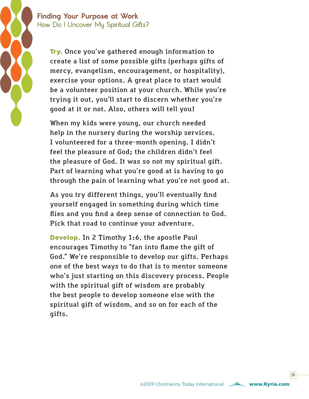### **Finding Your Purpose at Work How Do I Uncover My Spiritual Gifts?**

**Try.** Once you've gathered enough information to create a list of some possible gifts (perhaps gifts of mercy, evangelism, encouragement, or hospitality), exercise your options. A great place to start would be a volunteer position at your church. While you're trying it out, you'll start to discern whether you're good at it or not. Also, others will tell you!

When my kids were young, our church needed help in the nursery during the worship services. I volunteered for a three-month opening. I didn't feel the pleasure of God; the children didn't feel the pleasure of God. It was so not my spiritual gift. Part of learning what you're good at is having to go through the pain of learning what you're not good at.

As you try different things, you'll eventually find yourself engaged in something during which time flies and you find a deep sense of connection to God. Pick that road to continue your adventure.

**Develop.** In 2 Timothy 1:6, the apostle Paul encourages Timothy to "fan into flame the gift of God." We're responsible to develop our gifts. Perhaps one of the best ways to do that is to mentor someone who's just starting on this discovery process. People with the spiritual gift of wisdom are probably the best people to develop someone else with the spiritual gift of wisdom, and so on for each of the gifts.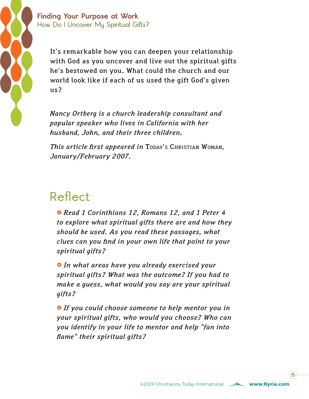

**Finding Your Purpose at Work How Do I Uncover My Spiritual Gifts?**

> It's remarkable how you can deepen your relationship with God as you uncover and live out the spiritual gifts he's bestowed on you. What could the church and our world look like if each of us used the gift God's given us?

*Nancy Ortberg is a church leadership consultant and popular speaker who lives in California with her husband, John, and their three children.*

*This article first appeared in* Today's Christian Woman*, January/February 2007.* 

### **Reflect**

£ *Read 1 Corinthians 12, Romans 12, and 1 Peter 4 to explore what spiritual gifts there are and how they should be used. As you read these passages, what clues can you find in your own life that point to your spiritual gifts?*

£ *In what areas have you already exercised your spiritual gifts? What was the outcome? If you had to make a guess, what would you say are your spiritual gifts?*

**•** If you could choose someone to help mentor you in *your spiritual gifts, who would you choose? Who can you identify in your life to mentor and help "fan into flame" their spiritual gifts?*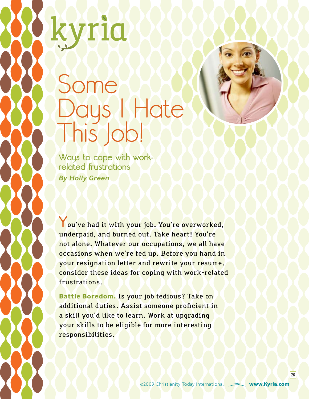# <span id="page-25-0"></span>Some Days I Hate This Job!

**Ways to cope with workrelated frustrations** By Holly Green

You've had it with your job. You're overworked, underpaid, and burned out. Take heart! You're not alone. Whatever our occupations, we all have occasions when we're fed up. Before you hand in your resignation letter and rewrite your resume, consider these ideas for coping with work-related frustrations.

**Battle Boredom.** Is your job tedious? Take on additional duties. Assist someone proficient in a skill you'd like to learn. Work at upgrading your skills to be eligible for more interesting responsibilities.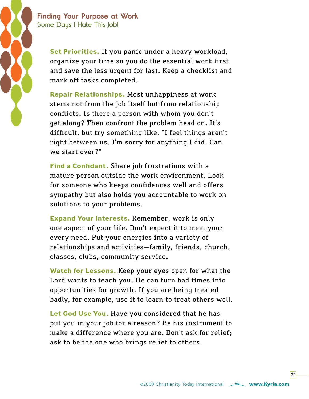

### **Finding Your Purpose at Work Some Days I Hate This Job!**

**Set Priorities.** If you panic under a heavy workload, organize your time so you do the essential work first and save the less urgent for last. Keep a checklist and mark off tasks completed.

**Repair Relationships.** Most unhappiness at work stems not from the job itself but from relationship conflicts. Is there a person with whom you don't get along? Then confront the problem head on. It's difficult, but try something like, "I feel things aren't right between us. I'm sorry for anything I did. Can we start over?"

**Find a Confidant.** Share job frustrations with a mature person outside the work environment. Look for someone who keeps confidences well and offers sympathy but also holds you accountable to work on solutions to your problems.

**Expand Your Interests.** Remember, work is only one aspect of your life. Don't expect it to meet your every need. Put your energies into a variety of relationships and activities—family, friends, church, classes, clubs, community service.

**Watch for Lessons.** Keep your eyes open for what the Lord wants to teach you. He can turn bad times into opportunities for growth. If you are being treated badly, for example, use it to learn to treat others well.

**Let God Use You.** Have you considered that he has put you in your job for a reason? Be his instrument to make a difference where you are. Don't ask for relief; ask to be the one who brings relief to others.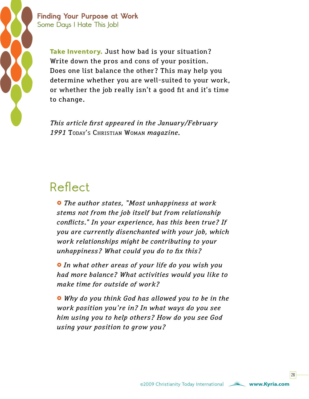

**Finding Your Purpose at Work Some Days I Hate This Job!**

> **Take Inventory.** Just how bad is your situation? Write down the pros and cons of your position. Does one list balance the other? This may help you determine whether you are well-suited to your work, or whether the job really isn't a good fit and it's time to change.

*This article first appeared in the January/February 1991* Today's Christian Woman *magazine.*

### **Reflect**

£ *The author states, "Most unhappiness at work stems not from the job itself but from relationship conflicts." In your experience, has this been true? If you are currently disenchanted with your job, which work relationships might be contributing to your unhappiness? What could you do to fix this?*

£ *In what other areas of your life do you wish you had more balance? What activities would you like to make time for outside of work?*

£ *Why do you think God has allowed you to be in the work position you're in? In what ways do you see him using you to help others? How do you see God using your position to grow you?*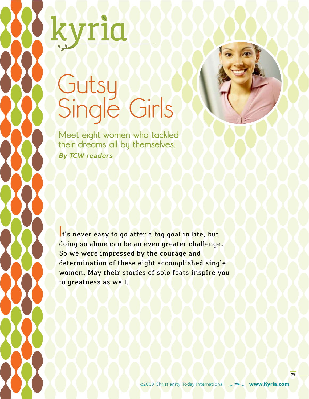# <span id="page-28-0"></span>Gutsy Single Girls

TIO

**Meet eight women who tackled their dreams all by themselves.**

By TCW readers

**I**t's never easy to go after a big goal in life, but doing so alone can be an even greater challenge. So we were impressed by the courage and determination of these eight accomplished single women. May their stories of solo feats inspire you to greatness as well.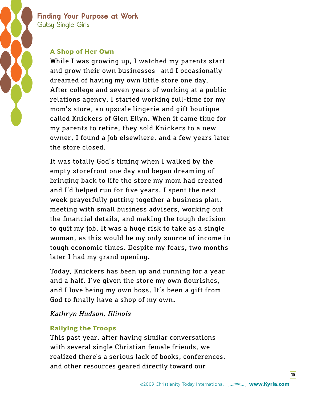

### **Finding Your Purpose at Work Gutsy Single Girls**

### **A Shop of Her Own**

While I was growing up, I watched my parents start and grow their own businesses—and I occasionally dreamed of having my own little store one day. After college and seven years of working at a public relations agency, I started working full-time for my mom's store, an upscale lingerie and gift boutique called Knickers of Glen Ellyn. When it came time for my parents to retire, they sold Knickers to a new owner, I found a job elsewhere, and a few years later the store closed.

It was totally God's timing when I walked by the empty storefront one day and began dreaming of bringing back to life the store my mom had created and I'd helped run for five years. I spent the next week prayerfully putting together a business plan, meeting with small business advisers, working out the financial details, and making the tough decision to quit my job. It was a huge risk to take as a single woman, as this would be my only source of income in tough economic times. Despite my fears, two months later I had my grand opening.

Today, Knickers has been up and running for a year and a half. I've given the store my own flourishes, and I love being my own boss. It's been a gift from God to finally have a shop of my own.

### *Kathryn Hudson, Illinois*

### **Rallying the Troops**

This past year, after having similar conversations with several single Christian female friends, we realized there's a serious lack of books, conferences, and other resources geared directly toward our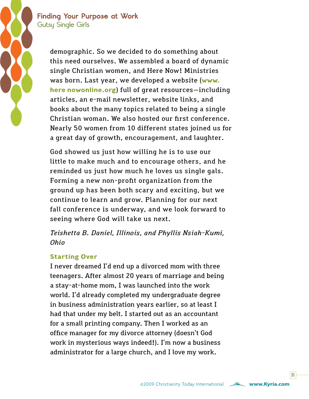### **Finding Your Purpose at Work Gutsy Single Girls**

demographic. So we decided to do something about this need ourselves. We assembled a board of dynamic single Christian women, and Here Now! Ministries was born. Last year, we developed a website (**[www.](http://www.here nowonline.org) [here nowonline.org](http://www.here nowonline.org)**) full of great resources—including articles, an e-mail newsletter, website links, and books about the many topics related to being a single Christian woman. We also hosted our first conference. Nearly 50 women from 10 different states joined us for a great day of growth, encouragement, and laughter.

God showed us just how willing he is to use our little to make much and to encourage others, and he reminded us just how much he loves us single gals. Forming a new non-profit organization from the ground up has been both scary and exciting, but we continue to learn and grow. Planning for our next fall conference is underway, and we look forward to seeing where God will take us next.

*Teishetta B. Daniel, Illinois, and Phyllis Nsiah-Kumi, Ohio*

### **Starting Over**

I never dreamed I'd end up a divorced mom with three teenagers. After almost 20 years of marriage and being a stay-at-home mom, I was launched into the work world. I'd already completed my undergraduate degree in business administration years earlier, so at least I had that under my belt. I started out as an accountant for a small printing company. Then I worked as an office manager for my divorce attorney (doesn't God work in mysterious ways indeed!). I'm now a business administrator for a large church, and I love my work.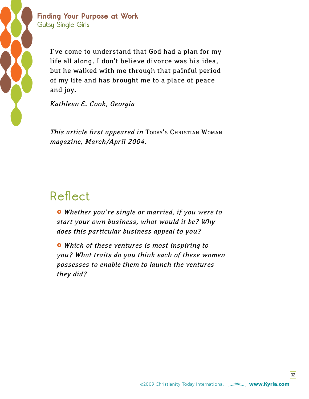

### **Finding Your Purpose at Work Gutsy Single Girls**

I've come to understand that God had a plan for my life all along. I don't believe divorce was his idea, but he walked with me through that painful period of my life and has brought me to a place of peace and joy.

*Kathleen E. Cook, Georgia*

This article first appeared in TODAY's CHRISTIAN WOMAN *magazine, March/April 2004.*

### **Reflect**

£ *Whether you're single or married, if you were to start your own business, what would it be? Why does this particular business appeal to you?*

£ *Which of these ventures is most inspiring to you? What traits do you think each of these women possesses to enable them to launch the ventures they did?*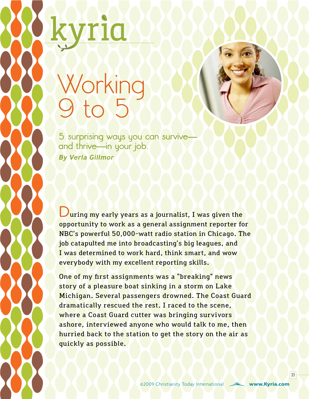# <span id="page-32-0"></span>Working  $165$

**5 surprising ways you can survive and thrive—in your job.** By Verla Gillmor

uring my early years as a journalist, I was given the opportunity to work as a general assignment reporter for NBC's powerful 50,000-watt radio station in Chicago. The job catapulted me into broadcasting's big leagues, and I was determined to work hard, think smart, and wow everybody with my excellent reporting skills.

One of my first assignments was a "breaking" news story of a pleasure boat sinking in a storm on Lake Michigan. Several passengers drowned. The Coast Guard dramatically rescued the rest. I raced to the scene, where a Coast Guard cutter was bringing survivors ashore, interviewed anyone who would talk to me, then hurried back to the station to get the story on the air as quickly as possible.

 $33<sup>1</sup>$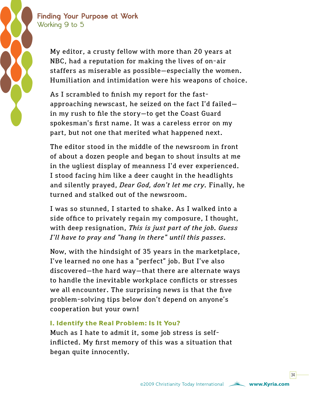

My editor, a crusty fellow with more than 20 years at NBC, had a reputation for making the lives of on-air staffers as miserable as possible—especially the women. Humiliation and intimidation were his weapons of choice.

As I scrambled to finish my report for the fastapproaching newscast, he seized on the fact I'd failed in my rush to file the story—to get the Coast Guard spokesman's first name. It was a careless error on my part, but not one that merited what happened next.

The editor stood in the middle of the newsroom in front of about a dozen people and began to shout insults at me in the ugliest display of meanness I'd ever experienced. I stood facing him like a deer caught in the headlights and silently prayed, *Dear God, don't let me cry.* Finally, he turned and stalked out of the newsroom.

I was so stunned, I started to shake. As I walked into a side office to privately regain my composure, I thought, with deep resignation, *This is just part of the job. Guess I'll have to pray and "hang in there" until this passes.*

Now, with the hindsight of 35 years in the marketplace, I've learned no one has a "perfect" job. But I've also discovered—the hard way—that there are alternate ways to handle the inevitable workplace conflicts or stresses we all encounter. The surprising news is that the five problem-solving tips below don't depend on anyone's cooperation but your own!

### **1. Identify the Real Problem: Is It You?**

Much as I hate to admit it, some job stress is selfinflicted. My first memory of this was a situation that began quite innocently.

©2009 Christianity Today International **[www.Kyria.com](www.kyria.com)**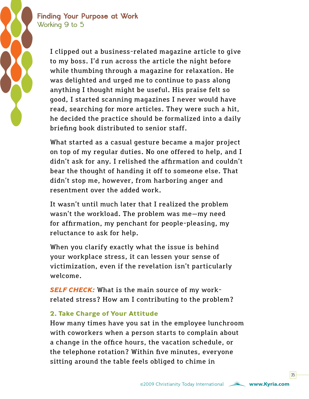> I clipped out a business-related magazine article to give to my boss. I'd run across the article the night before while thumbing through a magazine for relaxation. He was delighted and urged me to continue to pass along anything I thought might be useful. His praise felt so good, I started scanning magazines I never would have read, searching for more articles. They were such a hit, he decided the practice should be formalized into a daily briefing book distributed to senior staff.

> What started as a casual gesture became a major project on top of my regular duties. No one offered to help, and I didn't ask for any. I relished the affirmation and couldn't bear the thought of handing it off to someone else. That didn't stop me, however, from harboring anger and resentment over the added work.

It wasn't until much later that I realized the problem wasn't the workload. The problem was me—my need for affirmation, my penchant for people-pleasing, my reluctance to ask for help.

When you clarify exactly what the issue is behind your workplace stress, it can lessen your sense of victimization, even if the revelation isn't particularly welcome.

*SELF CHECK:* What is the main source of my workrelated stress? How am I contributing to the problem?

### **2. Take Charge of Your Attitude**

How many times have you sat in the employee lunchroom with coworkers when a person starts to complain about a change in the office hours, the vacation schedule, or the telephone rotation? Within five minutes, everyone sitting around the table feels obliged to chime in

 $35<sup>1</sup>$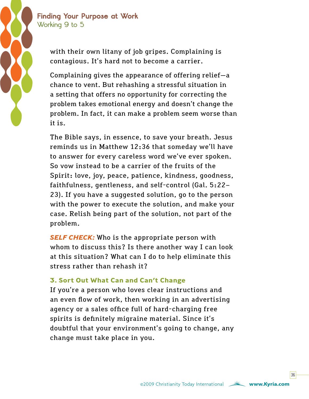> with their own litany of job gripes. Complaining is contagious. It's hard not to become a carrier.

Complaining gives the appearance of offering relief—a chance to vent. But rehashing a stressful situation in a setting that offers no opportunity for correcting the problem takes emotional energy and doesn't change the problem. In fact, it can make a problem seem worse than it is.

The Bible says, in essence, to save your breath. Jesus reminds us in Matthew 12:36 that someday we'll have to answer for every careless word we've ever spoken. So vow instead to be a carrier of the fruits of the Spirit: love, joy, peace, patience, kindness, goodness, faithfulness, gentleness, and self-control (Gal. 5:22– 23). If you have a suggested solution, go to the person with the power to execute the solution, and make your case. Relish being part of the solution, not part of the problem.

**SELF CHECK:** Who is the appropriate person with whom to discuss this? Is there another way I can look at this situation? What can I do to help eliminate this stress rather than rehash it?

### **3. Sort Out What Can and Can't Change**

If you're a person who loves clear instructions and an even flow of work, then working in an advertising agency or a sales office full of hard-charging free spirits is definitely migraine material. Since it's doubtful that your environment's going to change, any change must take place in you.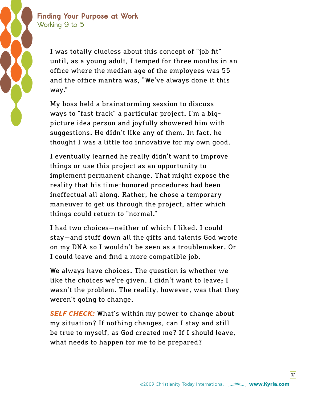> I was totally clueless about this concept of "job fit" until, as a young adult, I temped for three months in an office where the median age of the employees was 55 and the office mantra was, "We've always done it this way."

My boss held a brainstorming session to discuss ways to "fast track" a particular project. I'm a bigpicture idea person and joyfully showered him with suggestions. He didn't like any of them. In fact, he thought I was a little too innovative for my own good.

I eventually learned he really didn't want to improve things or use this project as an opportunity to implement permanent change. That might expose the reality that his time-honored procedures had been ineffectual all along. Rather, he chose a temporary maneuver to get us through the project, after which things could return to "normal."

I had two choices—neither of which I liked. I could stay—and stuff down all the gifts and talents God wrote on my DNA so I wouldn't be seen as a troublemaker. Or I could leave and find a more compatible job.

We always have choices. The question is whether we like the choices we're given. I didn't want to leave; I wasn't the problem. The reality, however, was that they weren't going to change.

**SELF CHECK:** What's within my power to change about my situation? If nothing changes, can I stay and still be true to myself, as God created me? If I should leave, what needs to happen for me to be prepared?

©2009 Christianity Today International **[www.Kyria.com](www.kyria.com)**

 $37<sup>1</sup>$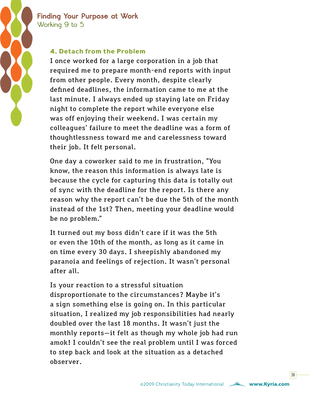

### **4. Detach from the Problem**

I once worked for a large corporation in a job that required me to prepare month-end reports with input from other people. Every month, despite clearly defined deadlines, the information came to me at the last minute. I always ended up staying late on Friday night to complete the report while everyone else was off enjoying their weekend. I was certain my colleagues' failure to meet the deadline was a form of thoughtlessness toward me and carelessness toward their job. It felt personal.

One day a coworker said to me in frustration, "You know, the reason this information is always late is because the cycle for capturing this data is totally out of sync with the deadline for the report. Is there any reason why the report can't be due the 5th of the month instead of the 1st? Then, meeting your deadline would be no problem."

It turned out my boss didn't care if it was the 5th or even the 10th of the month, as long as it came in on time every 30 days. I sheepishly abandoned my paranoia and feelings of rejection. It wasn't personal after all.

Is your reaction to a stressful situation disproportionate to the circumstances? Maybe it's a sign something else is going on. In this particular situation, I realized my job responsibilities had nearly doubled over the last 18 months. It wasn't just the monthly reports—it felt as though my whole job had run amok! I couldn't see the real problem until I was forced to step back and look at the situation as a detached observer.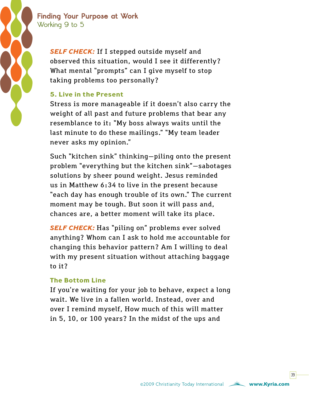

> *SELF CHECK:* If I stepped outside myself and observed this situation, would I see it differently? What mental "prompts" can I give myself to stop taking problems too personally?

### **5. Live in the Present**

Stress is more manageable if it doesn't also carry the weight of all past and future problems that bear any resemblance to it: "My boss always waits until the last minute to do these mailings." "My team leader never asks my opinion."

Such "kitchen sink" thinking—piling onto the present problem "everything but the kitchen sink"—sabotages solutions by sheer pound weight. Jesus reminded us in Matthew 6:34 to live in the present because "each day has enough trouble of its own." The current moment may be tough. But soon it will pass and, chances are, a better moment will take its place.

*SELF CHECK:* Has "piling on" problems ever solved anything? Whom can I ask to hold me accountable for changing this behavior pattern? Am I willing to deal with my present situation without attaching baggage to it?

### **The Bottom Line**

If you're waiting for your job to behave, expect a long wait. We live in a fallen world. Instead, over and over I remind myself, How much of this will matter in 5, 10, or 100 years? In the midst of the ups and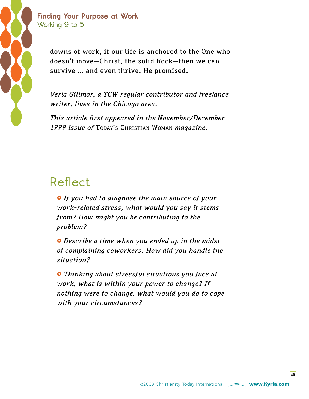

downs of work, if our life is anchored to the One who doesn't move—Christ, the solid Rock—then we can survive … and even thrive. He promised.

*Verla Gillmor, a TCW regular contributor and freelance writer, lives in the Chicago area.* 

*This article first appeared in the November/December 1999 issue of* Today's Christian Woman *magazine.*

### **Reflect**

£ *If you had to diagnose the main source of your work-related stress, what would you say it stems from? How might you be contributing to the problem?*

£ *Describe a time when you ended up in the midst of complaining coworkers. How did you handle the situation?*

£ *Thinking about stressful situations you face at work, what is within your power to change? If nothing were to change, what would you do to cope with your circumstances?*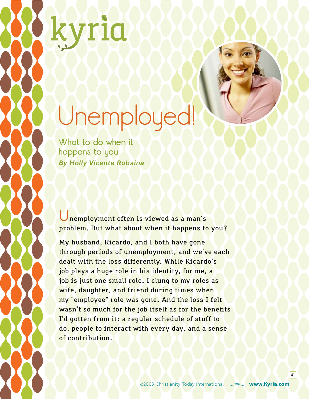# <span id="page-40-0"></span>Unemployed!

**What to do when it happens to you** By Holly Vicente Robaina

**U**nemployment often is viewed as a man's problem. But what about when it happens to you?

My husband, Ricardo, and I both have gone through periods of unemployment, and we've each dealt with the loss differently. While Ricardo's job plays a huge role in his identity, for me, a job is just one small role. I clung to my roles as wife, daughter, and friend during times when my "employee" role was gone. And the loss I felt wasn't so much for the job itself as for the benefits I'd gotten from it: a regular schedule of stuff to do, people to interact with every day, and a sense of contribution.

©2009 Christianity Today International **[www.Kyria.com](www.kyria.com)**

 $|41|$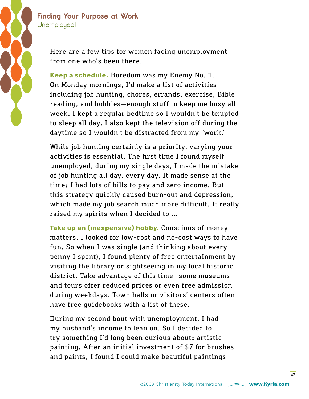

Here are a few tips for women facing unemployment from one who's been there.

**Keep a schedule.** Boredom was my Enemy No. 1. On Monday mornings, I'd make a list of activities including job hunting, chores, errands, exercise, Bible reading, and hobbies—enough stuff to keep me busy all week. I kept a regular bedtime so I wouldn't be tempted to sleep all day. I also kept the television off during the daytime so I wouldn't be distracted from my "work."

While job hunting certainly is a priority, varying your activities is essential. The first time I found myself unemployed, during my single days, I made the mistake of job hunting all day, every day. It made sense at the time: I had lots of bills to pay and zero income. But this strategy quickly caused burn-out and depression, which made my job search much more difficult. It really raised my spirits when I decided to …

**Take up an (inexpensive) hobby.** Conscious of money matters, I looked for low-cost and no-cost ways to have fun. So when I was single (and thinking about every penny I spent), I found plenty of free entertainment by visiting the library or sightseeing in my local historic district. Take advantage of this time—some museums and tours offer reduced prices or even free admission during weekdays. Town halls or visitors' centers often have free guidebooks with a list of these.

During my second bout with unemployment, I had my husband's income to lean on. So I decided to try something I'd long been curious about: artistic painting. After an initial investment of \$7 for brushes and paints, I found I could make beautiful paintings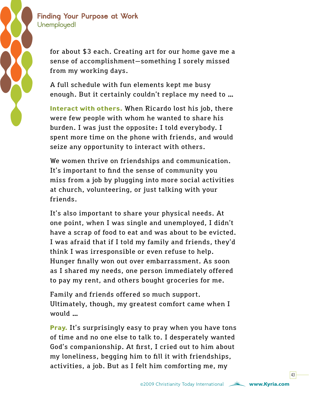

for about \$3 each. Creating art for our home gave me a sense of accomplishment—something I sorely missed from my working days.

A full schedule with fun elements kept me busy enough. But it certainly couldn't replace my need to …

**Interact with others.** When Ricardo lost his job, there were few people with whom he wanted to share his burden. I was just the opposite: I told everybody. I spent more time on the phone with friends, and would seize any opportunity to interact with others.

We women thrive on friendships and communication. It's important to find the sense of community you miss from a job by plugging into more social activities at church, volunteering, or just talking with your friends.

It's also important to share your physical needs. At one point, when I was single and unemployed, I didn't have a scrap of food to eat and was about to be evicted. I was afraid that if I told my family and friends, they'd think I was irresponsible or even refuse to help. Hunger finally won out over embarrassment. As soon as I shared my needs, one person immediately offered to pay my rent, and others bought groceries for me.

Family and friends offered so much support. Ultimately, though, my greatest comfort came when I would …

**Pray.** It's surprisingly easy to pray when you have tons of time and no one else to talk to. I desperately wanted God's companionship. At first, I cried out to him about my loneliness, begging him to fill it with friendships, activities, a job. But as I felt him comforting me, my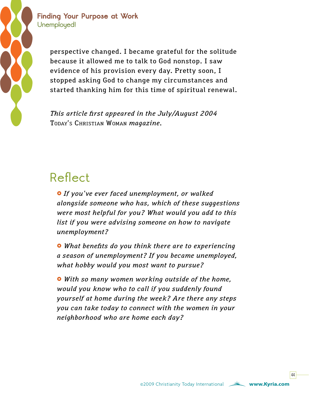

### **Finding Your Purpose at Work Unemployed!**

perspective changed. I became grateful for the solitude because it allowed me to talk to God nonstop. I saw evidence of his provision every day. Pretty soon, I stopped asking God to change my circumstances and started thanking him for this time of spiritual renewal.

*This article first appeared in the July/August 2004*  Today's Christian Woman *magazine.*

### **Reflect**

 $\bullet$  If you've ever faced unemployment, or walked *alongside someone who has, which of these suggestions were most helpful for you? What would you add to this list if you were advising someone on how to navigate unemployment?*

£ *What benefits do you think there are to experiencing a season of unemployment? If you became unemployed, what hobby would you most want to pursue?*

£ *With so many women working outside of the home, would you know who to call if you suddenly found yourself at home during the week? Are there any steps you can take today to connect with the women in your neighborhood who are home each day?*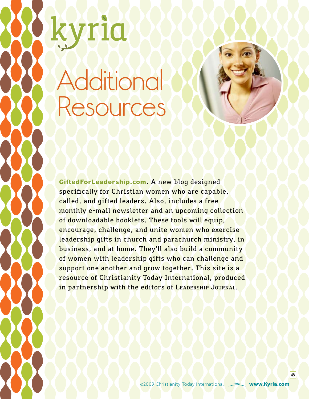# <span id="page-44-0"></span>**Additional** Resources

**G[iftedForLeadership.com](http://www.giftedforleadership.com)**. A new blog designed specifically for Christian women who are capable, called, and gifted leaders. Also, includes a free monthly e-mail newsletter and an upcoming collection of downloadable booklets. These tools will equip, encourage, challenge, and unite women who exercise leadership gifts in church and parachurch ministry, in business, and at home. They'll also build a community of women with leadership gifts who can challenge and support one another and grow together. This site is a resource of Christianity Today International, produced in partnership with the editors of LEADERSHIP JOURNAL.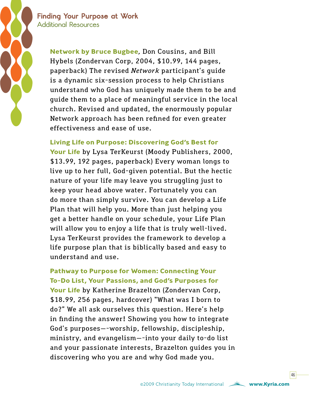**Finding Your Purpose at Work Additional Resources**

> **Network by Bruce Bugbee***,* Don Cousins, and Bill Hybels (Zondervan Corp, 2004, \$10.99, 144 pages, paperback) The revised *Network* participant's guide is a dynamic six-session process to help Christians understand who God has uniquely made them to be and guide them to a place of meaningful service in the local church. Revised and updated, the enormously popular Network approach has been refined for even greater effectiveness and ease of use.

#### **Living Life on Purpose: Discovering God's Best for**

**Your Life** by Lysa TerKeurst (Moody Publishers, 2000, \$13.99, 192 pages, paperback) Every woman longs to live up to her full, God-given potential. But the hectic nature of your life may leave you struggling just to keep your head above water. Fortunately you can do more than simply survive. You can develop a Life Plan that will help you. More than just helping you get a better handle on your schedule, your Life Plan will allow you to enjoy a life that is truly well-lived. Lysa TerKeurst provides the framework to develop a life purpose plan that is biblically based and easy to understand and use.

**Pathway to Purpose for Women: Connecting Your To-Do List, Your Passions, and God's Purposes for Your Life** by Katherine Brazelton (Zondervan Corp, \$18.99, 256 pages, hardcover) "What was I born to do?" We all ask ourselves this question. Here's help in finding the answer! Showing you how to integrate God's purposes—-worship, fellowship, discipleship, ministry, and evangelism—-into your daily to-do list and your passionate interests, Brazelton guides you in discovering who you are and why God made you.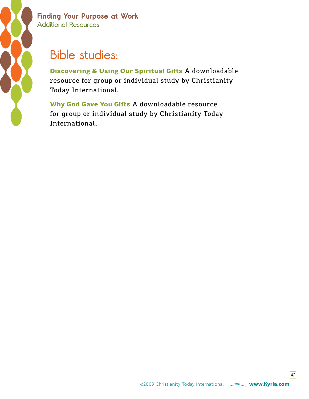

**Finding Your Purpose at Work Additional Resources**

### **Bible studies:**

**Discovering & Using Our Spiritual Gifts** A downloadable resource for group or individual study by Christianity Today International.

**Why God Gave You Gifts** A downloadable resource for group or individual study by Christianity Today International.